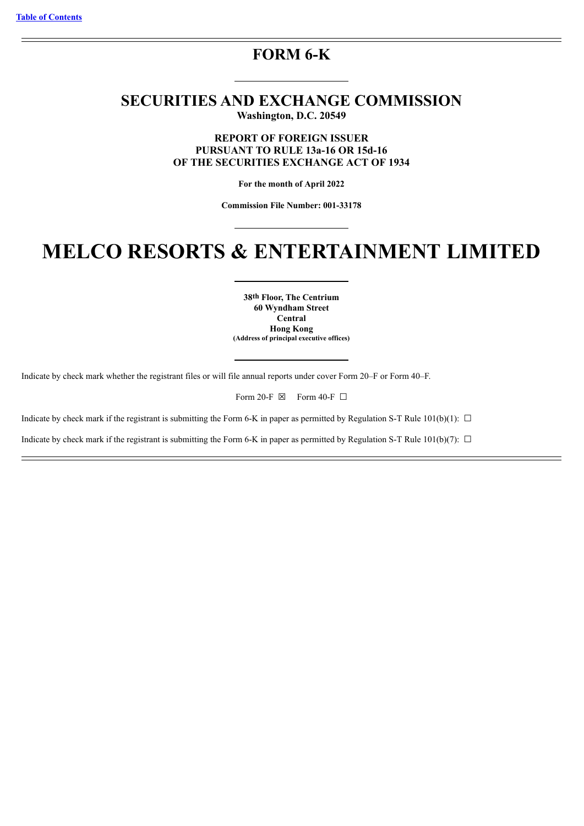# **FORM 6-K**

# **SECURITIES AND EXCHANGE COMMISSION Washington, D.C. 20549**

**REPORT OF FOREIGN ISSUER PURSUANT TO RULE 13a-16 OR 15d-16 OF THE SECURITIES EXCHANGE ACT OF 1934**

**For the month of April 2022**

**Commission File Number: 001-33178**

# **MELCO RESORTS & ENTERTAINMENT LIMITED**

**38th Floor, The Centrium 60 Wyndham Street Central Hong Kong (Address of principal executive offices)**

Indicate by check mark whether the registrant files or will file annual reports under cover Form 20–F or Form 40–F.

Form 20-F  $\boxtimes$  Form 40-F  $\Box$ 

Indicate by check mark if the registrant is submitting the Form 6-K in paper as permitted by Regulation S-T Rule 101(b)(1):  $\Box$ 

Indicate by check mark if the registrant is submitting the Form 6-K in paper as permitted by Regulation S-T Rule 101(b)(7):  $\Box$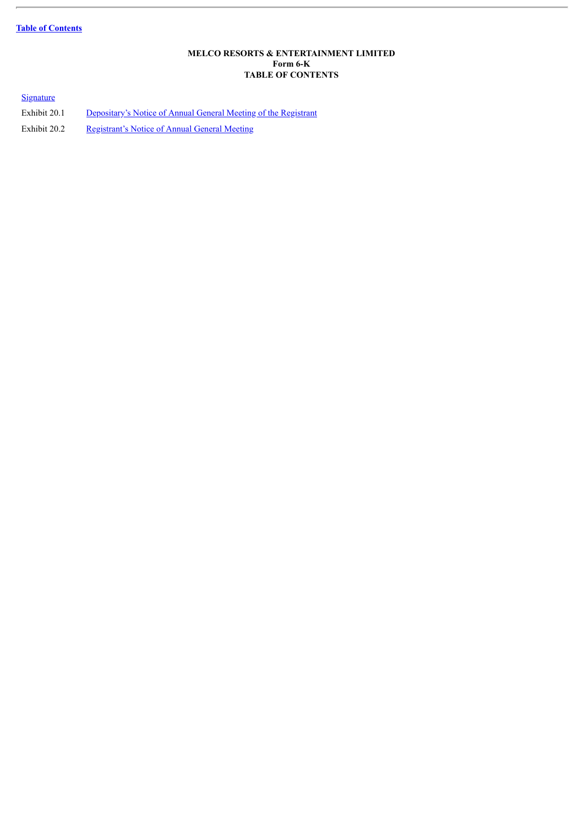# **Table of [Contents](#page-1-0)**

#### **MELCO RESORTS & ENTERTAINMENT LIMITED Form 6-K TABLE OF CONTENTS**

# <span id="page-1-0"></span>**[Signature](#page-2-0)**

Exhibit 20.1 [Depositary's](#page-4-0) Notice of Annual General Meeting of the Registrant Exhibit 20.2 [Registrant's](#page-5-0) Notice of Annual General Meeting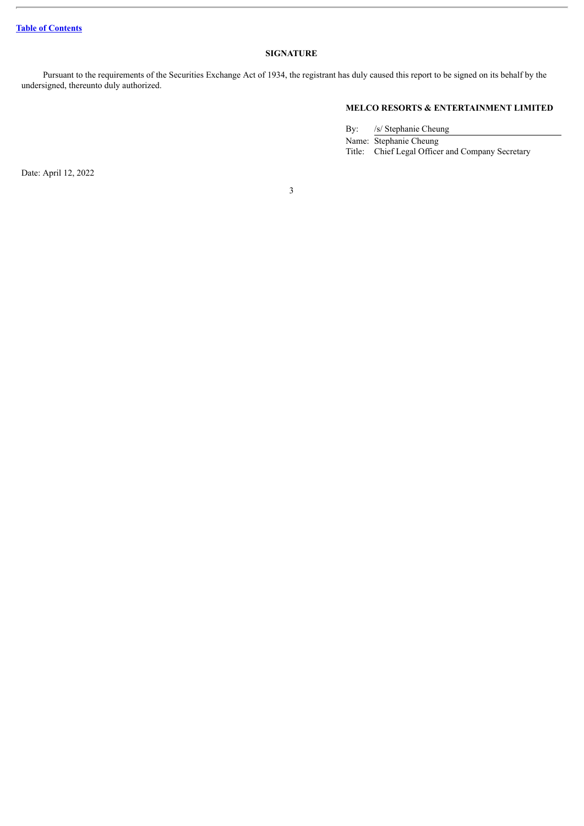#### **SIGNATURE**

<span id="page-2-0"></span>Pursuant to the requirements of the Securities Exchange Act of 1934, the registrant has duly caused this report to be signed on its behalf by the undersigned, thereunto duly authorized.

# **MELCO RESORTS & ENTERTAINMENT LIMITED**

By: /s/ Stephanie Cheung Name: Stephanie Cheung Title: Chief Legal Officer and Company Secretary

Date: April 12, 2022

3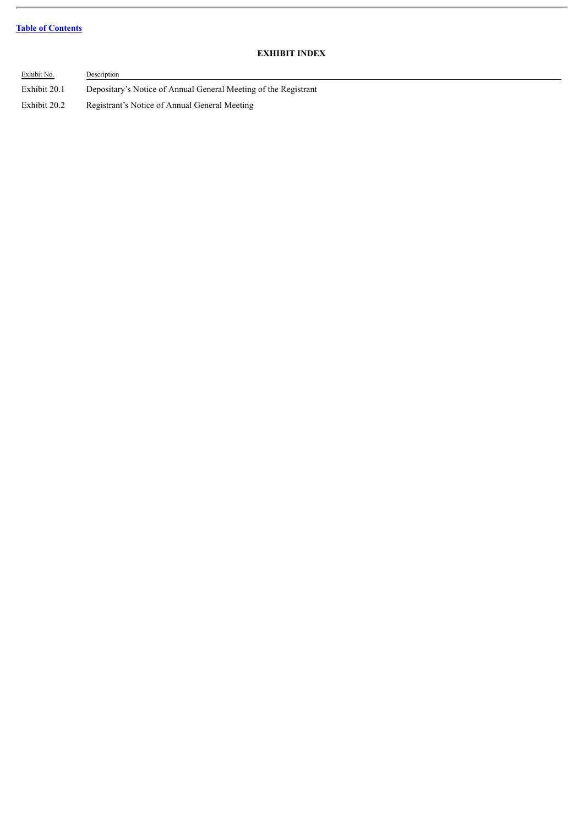# **Table of [Contents](#page-1-0)**

 $\overline{a}$ 

# **EXHIBIT INDEX**

| Exhibit No.  | Description                                                     |
|--------------|-----------------------------------------------------------------|
| Exhibit 20.1 | Depositary's Notice of Annual General Meeting of the Registrant |
| Exhibit 20.2 | Registrant's Notice of Annual General Meeting                   |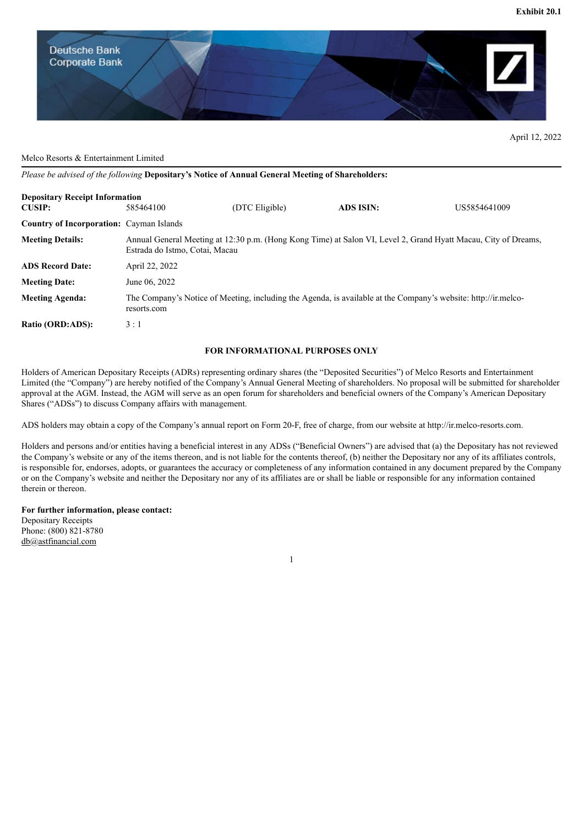<span id="page-4-0"></span>

April 12, 2022

#### Melco Resorts & Entertainment Limited

*Please be advised of the following* **Depositary's Notice of Annual General Meeting of Shareholders:**

| <b>Depositary Receipt Information</b>           |                                                                                                                                                  |                |                  |              |  |  |
|-------------------------------------------------|--------------------------------------------------------------------------------------------------------------------------------------------------|----------------|------------------|--------------|--|--|
| <b>CUSIP:</b>                                   | 585464100                                                                                                                                        | (DTC Eligible) | <b>ADS ISIN:</b> | US5854641009 |  |  |
| <b>Country of Incorporation:</b> Cayman Islands |                                                                                                                                                  |                |                  |              |  |  |
| <b>Meeting Details:</b>                         | Annual General Meeting at 12:30 p.m. (Hong Kong Time) at Salon VI, Level 2, Grand Hyatt Macau, City of Dreams,<br>Estrada do Istmo, Cotai, Macau |                |                  |              |  |  |
| <b>ADS Record Date:</b>                         | April 22, 2022                                                                                                                                   |                |                  |              |  |  |
| <b>Meeting Date:</b>                            | June 06, 2022                                                                                                                                    |                |                  |              |  |  |
| <b>Meeting Agenda:</b>                          | The Company's Notice of Meeting, including the Agenda, is available at the Company's website: http://ir.melco-<br>resorts.com                    |                |                  |              |  |  |
| Ratio (ORD:ADS):                                | 3:1                                                                                                                                              |                |                  |              |  |  |

#### **FOR INFORMATIONAL PURPOSES ONLY**

Holders of American Depositary Receipts (ADRs) representing ordinary shares (the "Deposited Securities") of Melco Resorts and Entertainment Limited (the "Company") are hereby notified of the Company's Annual General Meeting of shareholders. No proposal will be submitted for shareholder approval at the AGM. Instead, the AGM will serve as an open forum for shareholders and beneficial owners of the Company's American Depositary Shares ("ADSs") to discuss Company affairs with management.

ADS holders may obtain a copy of the Company's annual report on Form 20-F, free of charge, from our website at http://ir.melco-resorts.com.

Holders and persons and/or entities having a beneficial interest in any ADSs ("Beneficial Owners") are advised that (a) the Depositary has not reviewed the Company's website or any of the items thereon, and is not liable for the contents thereof, (b) neither the Depositary nor any of its affiliates controls, is responsible for, endorses, adopts, or guarantees the accuracy or completeness of any information contained in any document prepared by the Company or on the Company's website and neither the Depositary nor any of its affiliates are or shall be liable or responsible for any information contained therein or thereon.

1

#### **For further information, please contact:**

Depositary Receipts Phone: (800) 821-8780 db@astfinancial.com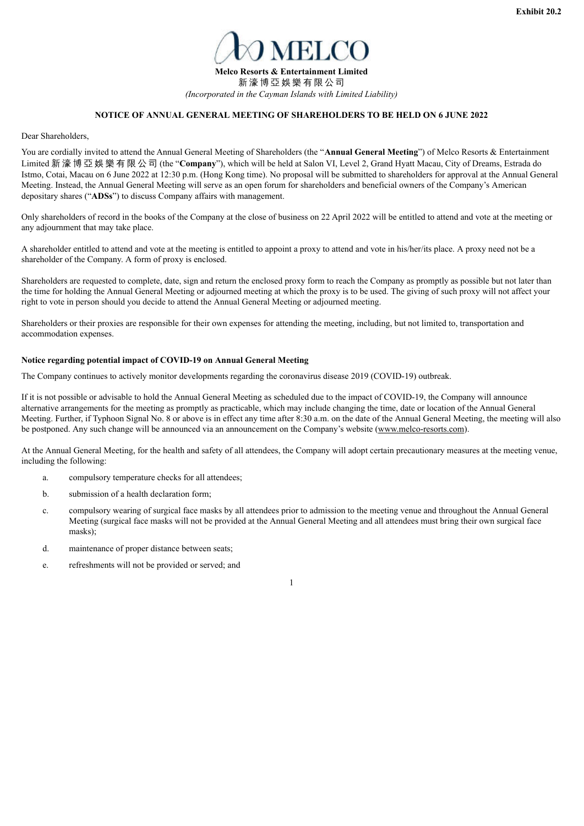

#### **NOTICE OF ANNUAL GENERAL MEETING OF SHAREHOLDERS TO BE HELD ON 6 JUNE 2022**

<span id="page-5-0"></span>Dear Shareholders,

You are cordially invited to attend the Annual General Meeting of Shareholders (the "**Annual General Meeting**") of Melco Resorts & Entertainment Limited 新 濠 博 亞 娛 樂 有 限 公 司 (the "**Company**"), which will be held at Salon VI, Level 2, Grand Hyatt Macau, City of Dreams, Estrada do Istmo, Cotai, Macau on 6 June 2022 at 12:30 p.m. (Hong Kong time). No proposal will be submitted to shareholders for approval at the Annual General Meeting. Instead, the Annual General Meeting will serve as an open forum for shareholders and beneficial owners of the Company's American depositary shares ("**ADSs**") to discuss Company affairs with management.

Only shareholders of record in the books of the Company at the close of business on 22 April 2022 will be entitled to attend and vote at the meeting or any adjournment that may take place.

A shareholder entitled to attend and vote at the meeting is entitled to appoint a proxy to attend and vote in his/her/its place. A proxy need not be a shareholder of the Company. A form of proxy is enclosed.

Shareholders are requested to complete, date, sign and return the enclosed proxy form to reach the Company as promptly as possible but not later than the time for holding the Annual General Meeting or adjourned meeting at which the proxy is to be used. The giving of such proxy will not affect your right to vote in person should you decide to attend the Annual General Meeting or adjourned meeting.

Shareholders or their proxies are responsible for their own expenses for attending the meeting, including, but not limited to, transportation and accommodation expenses.

#### **Notice regarding potential impact of COVID-19 on Annual General Meeting**

The Company continues to actively monitor developments regarding the coronavirus disease 2019 (COVID-19) outbreak.

If it is not possible or advisable to hold the Annual General Meeting as scheduled due to the impact of COVID-19, the Company will announce alternative arrangements for the meeting as promptly as practicable, which may include changing the time, date or location of the Annual General Meeting. Further, if Typhoon Signal No. 8 or above is in effect any time after 8:30 a.m. on the date of the Annual General Meeting, the meeting will also be postponed. Any such change will be announced via an announcement on the Company's website (www.melco-resorts.com).

At the Annual General Meeting, for the health and safety of all attendees, the Company will adopt certain precautionary measures at the meeting venue, including the following:

- a. compulsory temperature checks for all attendees;
- b. submission of a health declaration form;
- c. compulsory wearing of surgical face masks by all attendees prior to admission to the meeting venue and throughout the Annual General Meeting (surgical face masks will not be provided at the Annual General Meeting and all attendees must bring their own surgical face masks);
- d. maintenance of proper distance between seats;
- e. refreshments will not be provided or served; and

1